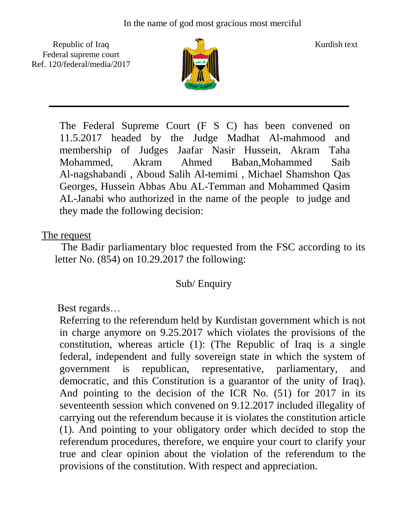Republic of Iraq  $\frac{1}{\sqrt{n}}$  Kurdish text Federal supreme court Ref. 120/federal/media/2017



The Federal Supreme Court (F S C) has been convened on 11.5.2017 headed by the Judge Madhat Al-mahmood and membership of Judges Jaafar Nasir Hussein, Akram Taha Mohammed, Akram Ahmed Baban,Mohammed Saib Al-nagshabandi , Aboud Salih Al-temimi , Michael Shamshon Qas Georges, Hussein Abbas Abu AL-Temman and Mohammed Qasim AL-Janabi who authorized in the name of the people to judge and they made the following decision:

## The request

 The Badir parliamentary bloc requested from the FSC according to its letter No. (854) on 10.29.2017 the following:

## Sub/ Enquiry

Best regards…

Referring to the referendum held by Kurdistan government which is not in charge anymore on 9.25.2017 which violates the provisions of the constitution, whereas article (1): (The Republic of Iraq is a single federal, independent and fully sovereign state in which the system of government is republican, representative, parliamentary, and democratic, and this Constitution is a guarantor of the unity of Iraq). And pointing to the decision of the ICR No. (51) for 2017 in its seventeenth session which convened on 9.12.2017 included illegality of carrying out the referendum because it is violates the constitution article (1). And pointing to your obligatory order which decided to stop the referendum procedures, therefore, we enquire your court to clarify your true and clear opinion about the violation of the referendum to the provisions of the constitution. With respect and appreciation.